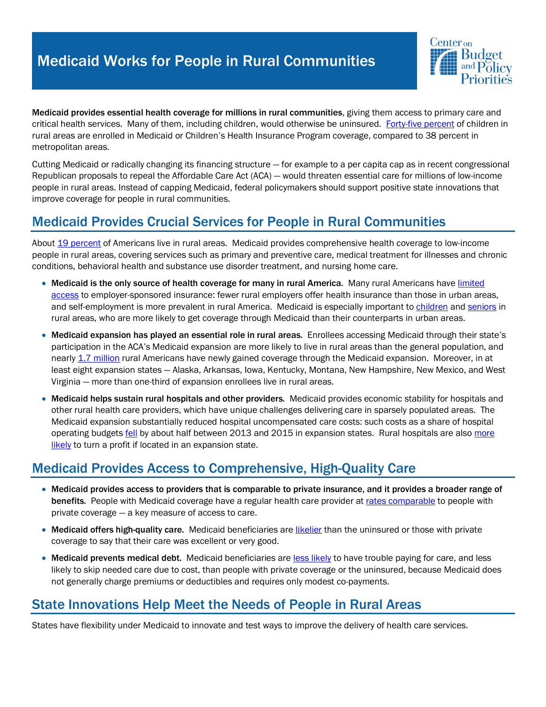# Medicaid Works for People in Rural Communities



Medicaid provides essential health coverage for millions in rural communities, giving them access to primary care and critical health services. Many of them, including children, would otherwise be uninsured. Forty-five percent of children in rural areas are enrolled in Medicaid or Children's Health Insurance Program coverage, compared to 38 percent in metropolitan areas.

Cutting Medicaid or radically changing its financing structure — for example to a per capita cap as in recent congressional Republican proposals to repeal the Affordable Care Act (ACA) — would threaten essential care for millions of low-income people in rural areas. Instead of capping Medicaid, federal policymakers should support positive state innovations that improve coverage for people in rural communities.

## Medicaid Provides Crucial Services for People in Rural Communities

About 19 percent of Americans live in rural areas. Medicaid provides comprehensive health coverage to low-income people in rural areas, covering services such as primary and preventive care, medical treatment for illnesses and chronic conditions, behavioral health and substance use disorder treatment, and nursing home care.

- Medicaid is the only source of health coverage for many in rural America. Many rural Americans have limited access to employer-sponsored insurance: fewer rural employers offer health insurance than those in urban areas, and self-employment is more prevalent in rural America. Medicaid is especially important to children and seniors in rural areas, who are more likely to get coverage through Medicaid than their counterparts in urban areas.
- Medicaid expansion has played an essential role in rural areas. Enrollees accessing Medicaid through their state's participation in the ACA's Medicaid expansion are more likely to live in rural areas than the general population, and nearly 1.7 million rural Americans have newly gained coverage through the Medicaid expansion. Moreover, in at least eight expansion states — Alaska, Arkansas, Iowa, Kentucky, Montana, New Hampshire, New Mexico, and West Virginia — more than one-third of expansion enrollees live in rural areas.
- Medicaid helps sustain rural hospitals and other providers. Medicaid provides economic stability for hospitals and other rural health care providers, which have unique challenges delivering care in sparsely populated areas. The Medicaid expansion substantially reduced hospital uncompensated care costs: such costs as a share of hospital operating budgets fell by about half between 2013 and 2015 in expansion states. Rural hospitals are also more likely to turn a profit if located in an expansion state.

#### Medicaid Provides Access to Comprehensive, High-Quality Care

- Medicaid provides access to providers that is comparable to private insurance, and it provides a broader range of benefits. People with Medicaid coverage have a regular health care provider at rates comparable to people with private coverage — a key measure of access to care.
- Medicaid offers high-quality care. Medicaid beneficiaries are likelier than the uninsured or those with private coverage to say that their care was excellent or very good.
- Medicaid prevents medical debt. Medicaid beneficiaries are less likely to have trouble paying for care, and less likely to skip needed care due to cost, than people with private coverage or the uninsured, because Medicaid does not generally charge premiums or deductibles and requires only modest co-payments.

#### State Innovations Help Meet the Needs of People in Rural Areas

States have flexibility under Medicaid to innovate and test ways to improve the delivery of health care services.